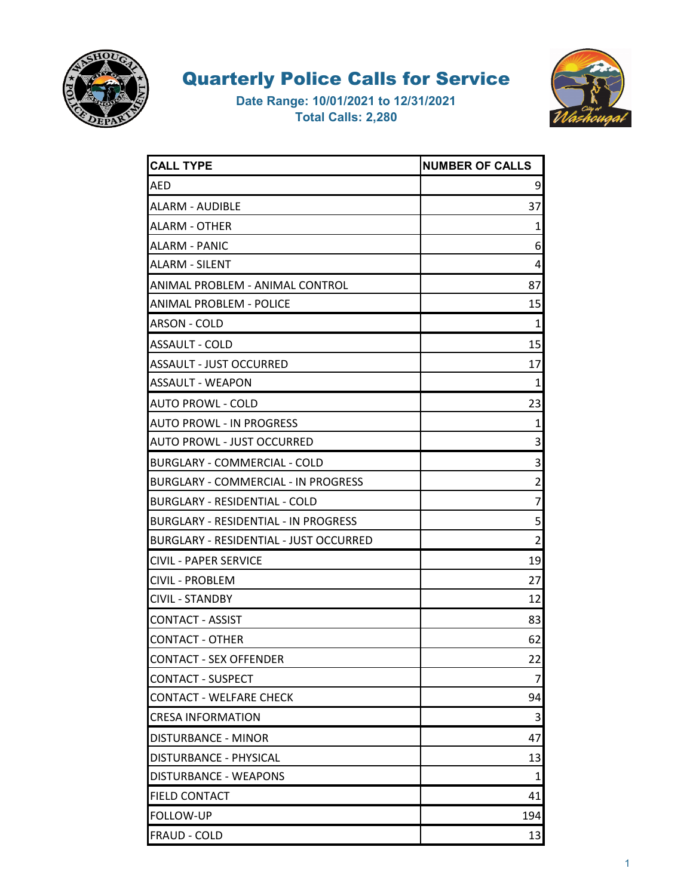



| <b>CALL TYPE</b>                            | <b>NUMBER OF CALLS</b> |
|---------------------------------------------|------------------------|
| <b>AED</b>                                  | 9                      |
| ALARM - AUDIBLE                             | 37                     |
| <b>ALARM - OTHER</b>                        | 1                      |
| <b>ALARM - PANIC</b>                        | 6                      |
| <b>ALARM - SILENT</b>                       | 4                      |
| ANIMAL PROBLEM - ANIMAL CONTROL             | 87                     |
| ANIMAL PROBLEM - POLICE                     | 15                     |
| ARSON - COLD                                | 1                      |
| ASSAULT - COLD                              | 15                     |
| ASSAULT - JUST OCCURRED                     | 17                     |
| <b>ASSAULT - WEAPON</b>                     | 1                      |
| <b>AUTO PROWL - COLD</b>                    | 23                     |
| <b>AUTO PROWL - IN PROGRESS</b>             | 1                      |
| <b>AUTO PROWL - JUST OCCURRED</b>           | 3                      |
| <b>BURGLARY - COMMERCIAL - COLD</b>         | 3                      |
| <b>BURGLARY - COMMERCIAL - IN PROGRESS</b>  | 2                      |
| BURGLARY - RESIDENTIAL - COLD               | 7                      |
| <b>BURGLARY - RESIDENTIAL - IN PROGRESS</b> | 5                      |
| BURGLARY - RESIDENTIAL - JUST OCCURRED      | 2                      |
| <b>CIVIL - PAPER SERVICE</b>                | 19                     |
| <b>CIVIL - PROBLEM</b>                      | 27                     |
| <b>CIVIL - STANDBY</b>                      | 12                     |
| <b>CONTACT - ASSIST</b>                     | 83                     |
| <b>CONTACT - OTHER</b>                      | 62                     |
| <b>CONTACT - SEX OFFENDER</b>               | 22                     |
| <b>CONTACT - SUSPECT</b>                    | 7                      |
| <b>CONTACT - WELFARE CHECK</b>              | 94                     |
| <b>CRESA INFORMATION</b>                    | 3                      |
| DISTURBANCE - MINOR                         | 47                     |
| DISTURBANCE - PHYSICAL                      | 13                     |
| DISTURBANCE - WEAPONS                       | 1                      |
| <b>FIELD CONTACT</b>                        | 41                     |
| <b>FOLLOW-UP</b>                            | 194                    |
| <b>FRAUD - COLD</b>                         | 13                     |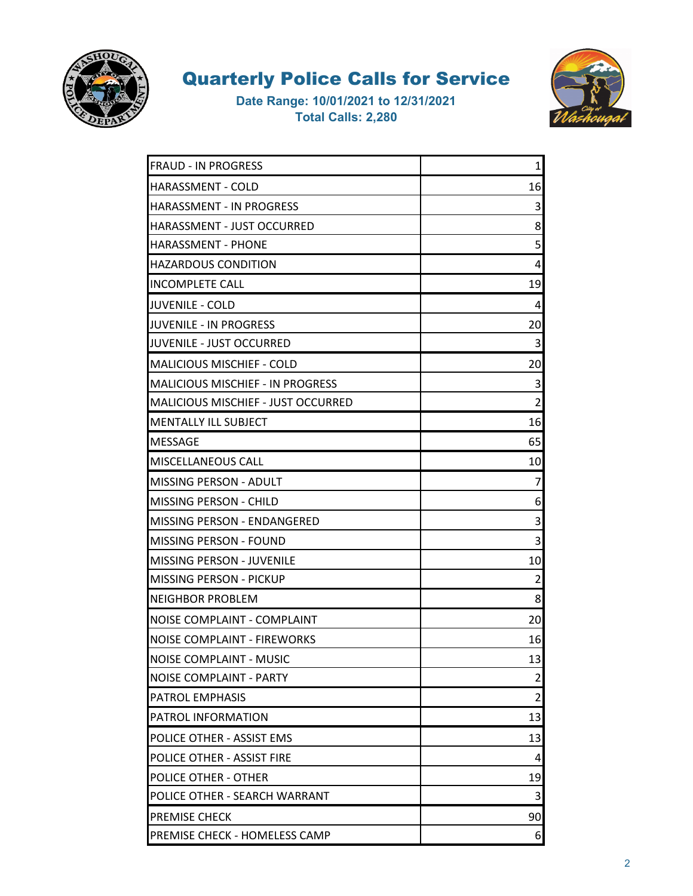



| <b>FRAUD - IN PROGRESS</b>                | $\mathbf 1$ |
|-------------------------------------------|-------------|
| <b>HARASSMENT - COLD</b>                  | 16          |
| HARASSMENT - IN PROGRESS                  | 3           |
| HARASSMENT - JUST OCCURRED                | 8           |
| <b>HARASSMENT - PHONE</b>                 | 5           |
| <b>HAZARDOUS CONDITION</b>                | 4           |
| <b>INCOMPLETE CALL</b>                    | 19          |
| <b>JUVENILE - COLD</b>                    | 4           |
| JUVENILE - IN PROGRESS                    | 20          |
| JUVENILE - JUST OCCURRED                  | 3           |
| <b>MALICIOUS MISCHIEF - COLD</b>          | 20          |
| <b>MALICIOUS MISCHIEF - IN PROGRESS</b>   | 3           |
| <b>MALICIOUS MISCHIEF - JUST OCCURRED</b> | 2           |
| <b>MENTALLY ILL SUBJECT</b>               | 16          |
| <b>MESSAGE</b>                            | 65          |
| <b>MISCELLANEOUS CALL</b>                 | 10          |
| <b>MISSING PERSON - ADULT</b>             | 7           |
| MISSING PERSON - CHILD                    | 6           |
| MISSING PERSON - ENDANGERED               | 3           |
| <b>MISSING PERSON - FOUND</b>             | 3           |
| MISSING PERSON - JUVENILE                 | 10          |
| MISSING PERSON - PICKUP                   | 2           |
| <b>NEIGHBOR PROBLEM</b>                   | 8           |
| NOISE COMPLAINT - COMPLAINT               | 20          |
| <b>NOISE COMPLAINT - FIREWORKS</b>        | 16          |
| <b>NOISE COMPLAINT - MUSIC</b>            | 13          |
| NOISE COMPLAINT - PARTY                   | 2           |
| <b>PATROL EMPHASIS</b>                    | 2           |
| <b>PATROL INFORMATION</b>                 | 13          |
| POLICE OTHER - ASSIST EMS                 | 13          |
| POLICE OTHER - ASSIST FIRE                | 4           |
| <b>POLICE OTHER - OTHER</b>               | 19          |
| POLICE OTHER - SEARCH WARRANT             | 3           |
| <b>PREMISE CHECK</b>                      | 90          |
| PREMISE CHECK - HOMELESS CAMP             | 6           |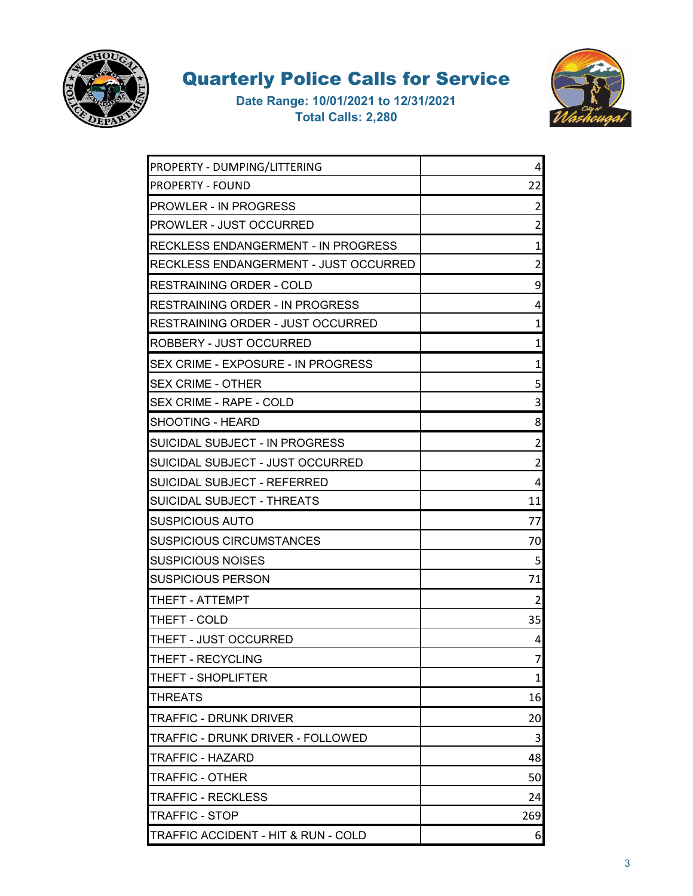



| PROPERTY - DUMPING/LITTERING               | 4              |
|--------------------------------------------|----------------|
| <b>PROPERTY - FOUND</b>                    | 22             |
| <b>PROWLER - IN PROGRESS</b>               | 2              |
| <b>PROWLER - JUST OCCURRED</b>             | $\overline{2}$ |
| <b>RECKLESS ENDANGERMENT - IN PROGRESS</b> | $\mathbf{1}$   |
| RECKLESS ENDANGERMENT - JUST OCCURRED      | 2              |
| RESTRAINING ORDER - COLD                   | 9              |
| <b>RESTRAINING ORDER - IN PROGRESS</b>     | 4              |
| RESTRAINING ORDER - JUST OCCURRED          | 1              |
| ROBBERY - JUST OCCURRED                    | $\mathbf{1}$   |
| SEX CRIME - EXPOSURE - IN PROGRESS         | 1              |
| <b>SEX CRIME - OTHER</b>                   | 5              |
| <b>SEX CRIME - RAPE - COLD</b>             | 3              |
| <b>SHOOTING - HEARD</b>                    | 8              |
| SUICIDAL SUBJECT - IN PROGRESS             | 2              |
| SUICIDAL SUBJECT - JUST OCCURRED           | $\overline{2}$ |
| SUICIDAL SUBJECT - REFERRED                | 4              |
| SUICIDAL SUBJECT - THREATS                 | 11             |
| <b>SUSPICIOUS AUTO</b>                     | 77             |
| <b>SUSPICIOUS CIRCUMSTANCES</b>            | 70             |
| <b>SUSPICIOUS NOISES</b>                   | 5              |
| <b>SUSPICIOUS PERSON</b>                   | 71             |
| THEFT - ATTEMPT                            | $\overline{2}$ |
| THEFT - COLD                               | 35             |
| THEFT - JUST OCCURRED                      | 4              |
| THEFT - RECYCLING                          | 7              |
| THEFT - SHOPLIFTER                         | $\mathbf{1}$   |
| <b>THREATS</b>                             | 16             |
| <b>TRAFFIC - DRUNK DRIVER</b>              | 20             |
| TRAFFIC - DRUNK DRIVER - FOLLOWED          | 3              |
| TRAFFIC - HAZARD                           | 48             |
| <b>TRAFFIC - OTHER</b>                     | 50             |
| <b>TRAFFIC - RECKLESS</b>                  | 24             |
| <b>TRAFFIC - STOP</b>                      | 269            |
| TRAFFIC ACCIDENT - HIT & RUN - COLD        | 6              |